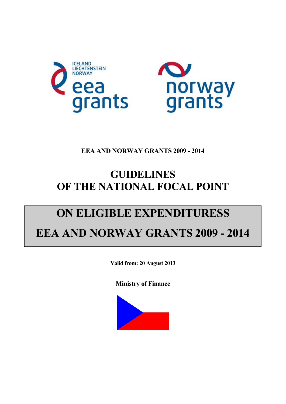



## **EEA AND NORWAY GRANTS 2009 - 2014**

## **GUIDELINES OF THE NATIONAL FOCAL POINT**

# **ON ELIGIBLE EXPENDITURESS EEA AND NORWAY GRANTS 2009 - 2014**

**Valid from: 20 August 2013** 

**Ministry of Finance** 

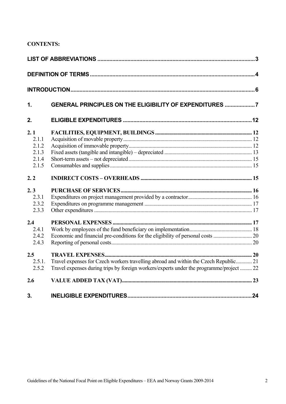## **CONTENTS:**

| $\mathbf 1$                                      | <b>GENERAL PRINCIPLES ON THE ELIGIBILITY OF EXPENDITURES 7</b>                                                                                                                  |  |
|--------------------------------------------------|---------------------------------------------------------------------------------------------------------------------------------------------------------------------------------|--|
| 2.                                               |                                                                                                                                                                                 |  |
| 2.1<br>2.1.1<br>2.1.2<br>2.1.3<br>2.1.4<br>2.1.5 |                                                                                                                                                                                 |  |
| 2.2                                              |                                                                                                                                                                                 |  |
| 2.3<br>2.3.1<br>2.3.2<br>2.3.3                   |                                                                                                                                                                                 |  |
| 2.4<br>2.4.1<br>2.4.2<br>2.4.3                   |                                                                                                                                                                                 |  |
| 2.5<br>2.5.1.<br>2.5.2                           | Travel expenses for Czech workers travelling abroad and within the Czech Republic 21<br>Travel expenses during trips by foreign workers/experts under the programme/project  22 |  |
| 2.6                                              |                                                                                                                                                                                 |  |
| 3.                                               |                                                                                                                                                                                 |  |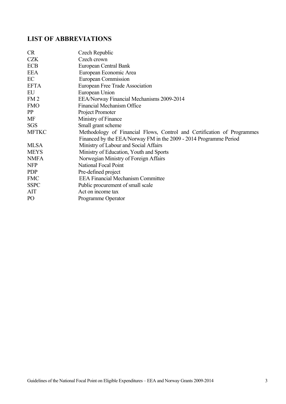## <span id="page-2-0"></span>**LIST OF ABBREVIATIONS**

| <b>CR</b>       | Czech Republic                                                          |
|-----------------|-------------------------------------------------------------------------|
| <b>CZK</b>      | Czech crown                                                             |
| <b>ECB</b>      | European Central Bank                                                   |
| <b>EEA</b>      | European Economic Area                                                  |
| EC              | <b>European Commission</b>                                              |
| <b>EFTA</b>     | European Free Trade Association                                         |
| EU              | European Union                                                          |
| FM <sub>2</sub> | EEA/Norway Financial Mechanisms 2009-2014                               |
| <b>FMO</b>      | <b>Financial Mechanism Office</b>                                       |
| PP              | Project Promoter                                                        |
| MF              | Ministry of Finance                                                     |
| <b>SGS</b>      | Small grant scheme                                                      |
| <b>MFTKC</b>    | Methodology of Financial Flows, Control and Certification of Programmes |
|                 | Financed by the EEA/Norway FM in the 2009 - 2014 Programme Period       |
| <b>MLSA</b>     | Ministry of Labour and Social Affairs                                   |
| <b>MEYS</b>     | Ministry of Education, Youth and Sports                                 |
| <b>NMFA</b>     | Norwegian Ministry of Foreign Affairs                                   |
| <b>NFP</b>      | <b>National Focal Point</b>                                             |
| <b>PDP</b>      | Pre-defined project                                                     |
| <b>FMC</b>      | <b>EEA Financial Mechanism Committee</b>                                |
| <b>SSPC</b>     | Public procurement of small scale                                       |
| AIT             | Act on income tax                                                       |
| PO <sub>1</sub> | Programme Operator                                                      |
|                 |                                                                         |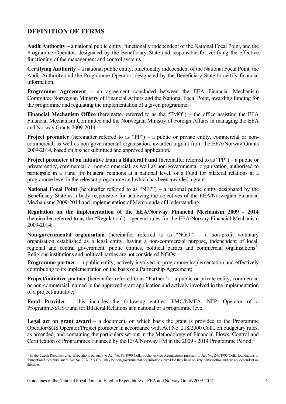## **DEFINITION OF TERMS**

<span id="page-3-0"></span>**Audit Authority –** a national public entity, functionally independent of the National Focal Point, and the Programme Operator, designated by the Beneficiary State and responsible for verifying the effective functioning of the management and control systems

**Certifying Authority –** a national public entity, functionally independent of the National Focal Point, the Audit Authority and the Programme Operator, designated by the Beneficiary State to certify financial information;

**Programme Agreement** – an agreement concluded between the EEA Financial Mechanism Committee/Norwegian Ministry of Financial Affairs and the National Focal Point, awarding funding for the programme and regulating the implementation of a given programme;

**Financial Mechanism Office** (hereinafter referred to as the "FMO") – the office assisting the EEA Financial Mechanism Committee and the Norwegian Ministry of Foreign Affairs in managing the EEA and Norway Grants 2009-2014.

**Project promoter** (hereinafter referred to as "PP") – a public or private entity, commercial or noncommercial, as well as non-governmental organisation, awarded a grant from the EEA/Norway Grants 2009-2014, based on his/her submitted and approved application.

**Project promoter of an initiative from a Bilateral Fund** (hereinafter referred to as "PP") – a public or private entity, commercial or non-commercial, as well as non-governmental organisation, authorised to participate in a Fund for bilateral relations at a national level, or a Fund for bilateral relations at a programme level in the relevant programme and which has been awarded a grant.

**National Focal Point** (hereinafter referred to as "NFP") – a national public entity designated by the Beneficiary State as a body responsible for achieving the objectives of the EEA/Norwegian Financial Mechanisms 2009-2014 and implementation of Memoranda of Understanding;

**Regulation on the implementation of the EEA/Norway Financial Mechanism 2009 - 2014**  (hereinafter referred to as the "Regulation") – general rules for the EEA/Norway Financial Mechanism 2009-2014;

**Non-governmental organisation** (hereinafter referred to as "NGO") – a non-profit voluntary organisation established as a legal entity, having a non-commercial purpose, independent of local, regional and central government, public entities, political parties and commercial organisations<sup>1</sup>. Religious institutions and political parties are not considered NGOs;

**Programme partner** – a public entity, actively involved in programme implementation and effectively contributing to its implementation on the basis of a Partnership Agreement;

**Project/initiative partner** (hereinafter referred to as "Partner") **–** a public or private entity, commercial or non-commercial, named in the approved grant application and actively involved in the implementation of a project/initiative;

**Fund Provider** – this includes the following entities: FMC/NMFA, NFP, Operator of a Programme/SGS/Fund for Bilateral Relations at a national or a programme level

**Legal act on grant award** – a document, on which basis the grant is provided to the Programme Operator/SGS Operator/Project promoter in accordance with Act No. 218/2000 Coll., on budgetary rules, as amended, and containing the particulars set out in the Methodology of Financial Flows, Control and Certification of Programmes Financed by the EEA/Norway FM in the 2009 - 2014 Programme Period;

 $\overline{a}$ 

 $<sup>1</sup>$  In the Czech Republic, civic associations pursuant to Act No. 83/1990 Coll., public service organizations pursuant to Act No. 248/1995 Coll., foundations or</sup> foundation funds pursuant to Act No. 227/1997 Coll. may be non-governmental organisations, provided they have no state participation and are not dependent on the state.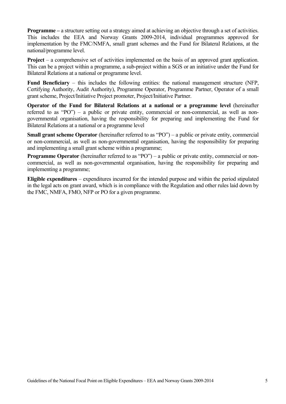**Programme** – a structure setting out a strategy aimed at achieving an objective through a set of activities. This includes the EEA and Norway Grants 2009-2014, individual programmes approved for implementation by the FMC/NMFA, small grant schemes and the Fund for Bilateral Relations, at the national/programme level.

**Project** – a comprehensive set of activities implemented on the basis of an approved grant application. This can be a project within a programme, a sub-project within a SGS or an initiative under the Fund for Bilateral Relations at a national or programme level.

**Fund Beneficiary** – this includes the following entities: the national management structure (NFP, Certifying Authority, Audit Authority), Programme Operator, Programme Partner, Operator of a small grant scheme, Project/Initiative Project promoter, Project/Initiative Partner.

**Operator of the Fund for Bilateral Relations at a national or a programme level** (hereinafter referred to as "PO") – a public or private entity, commercial or non-commercial, as well as nongovernmental organisation, having the responsibility for preparing and implementing the Fund for Bilateral Relations at a national or a programme level

**Small grant scheme Operator** (hereinafter referred to as "PO") – a public or private entity, commercial or non-commercial, as well as non-governmental organisation, having the responsibility for preparing and implementing a small grant scheme within a programme;

**Programme Operator** (hereinafter referred to as "PO") – a public or private entity, commercial or noncommercial, as well as non-governmental organisation, having the responsibility for preparing and implementing a programme;

**Eligible expenditures** – expenditures incurred for the intended purpose and within the period stipulated in the legal acts on grant award, which is in compliance with the Regulation and other rules laid down by the FMC, NMFA, FMO, NFP or PO for a given programme.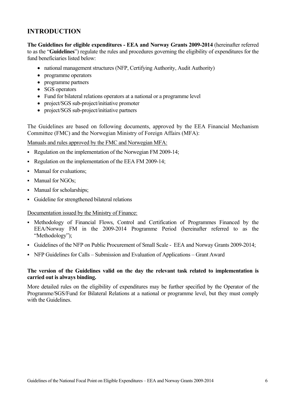## **INTRODUCTION**

**The Guidelines for eligible expenditures - EEA and Norway Grants 2009-2014** (hereinafter referred to as the "**Guidelines**") regulate the rules and procedures governing the eligibility of expenditures for the fund beneficiaries listed below:

- national management structures (NFP, Certifying Authority, Audit Authority)
- programme operators
- programme partners
- SGS operators
- Fund for bilateral relations operators at a national or a programme level
- project/SGS sub-project/initiative promoter
- project/SGS sub-project/initiative partners

The Guidelines are based on following documents, approved by the EEA Financial Mechanism Committee (FMC) and the Norwegian Ministry of Foreign Affairs (MFA):

Manuals and rules approved by the FMC and Norwegian MFA:

- Regulation on the implementation of the Norwegian FM 2009-14;
- Regulation on the implementation of the EEA FM 2009-14;
- Manual for evaluations:
- Manual for NGOs;
- Manual for scholarships;
- Guideline for strengthened bilateral relations

Documentation issued by the Ministry of Finance:

- Methodology of Financial Flows, Control and Certification of Programmes Financed by the EEA/Norway FM in the 2009-2014 Programme Period (hereinafter referred to as the "Methodology");
- Guidelines of the NFP on Public Procurement of Small Scale EEA and Norway Grants 2009-2014;
- NFP Guidelines for Calls Submission and Evaluation of Applications Grant Award

#### **The version of the Guidelines valid on the day the relevant task related to implementation is carried out is always binding.**

More detailed rules on the eligibility of expenditures may be further specified by the Operator of the Programme/SGS/Fund for Bilateral Relations at a national or programme level, but they must comply with the Guidelines.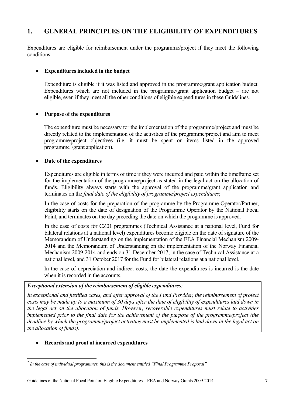## **1. GENERAL PRINCIPLES ON THE ELIGIBILITY OF EXPENDITURES**

<span id="page-6-0"></span>Expenditures are eligible for reimbursement under the programme/project if they meet the following conditions:

#### **Expenditures included in the budget**

Expenditure is eligible if it was listed and approved in the programme/grant application budget. Expenditures which are not included in the programme/grant application budget – are not eligible, even if they meet all the other conditions of eligible expenditures in these Guidelines.

#### **Purpose of the expenditures**

The expenditure must be necessary for the implementation of the programme/project and must be directly related to the implementation of the activities of the programme/project and aim to meet programme/project objectives (i.e. it must be spent on items listed in the approved programme<sup>2</sup>/grant application).

#### **Date of the expenditures**

Expenditures are eligible in terms of time if they were incurred and paid within the timeframe set for the implementation of the programme/project as stated in the legal act on the allocation of funds. Eligibility always starts with the approval of the programme/grant application and terminates on the *final date of the eligibility of programme/project expenditures*;

In the case of costs for the preparation of the programme by the Programme Operator/Partner, eligibility starts on the date of designation of the Programme Operator by the National Focal Point, and terminates on the day preceding the date on which the programme is approved.

In the case of costs for CZ01 programmes (Technical Assistance at a national level, Fund for bilateral relations at a national level) expenditures become eligible on the date of signature of the Memorandum of Understanding on the implementation of the EEA Financial Mechanism 2009- 2014 and the Memorandum of Understanding on the implementation of the Norway Financial Mechanism 2009-2014 and ends on 31 December 2017, in the case of Technical Assistance at a national level, and 31 October 2017 for the Fund for bilateral relations at a national level.

In the case of depreciation and indirect costs, the date the expenditures is incurred is the date when it is recorded in the accounts.

#### *Exceptional extension of the reimbursement of eligible expenditures:*

*In exceptional and justified cases, and after approval of the Fund Provider, the reimbursement of project costs may be made up to a maximum of 30 days after the date of eligibility of expenditures laid down in the legal act on the allocation of funds. However, recoverable expenditures must relate to activities implemented prior to the final date for the achievement of the purpose of the programme/project (the deadline by which the programme/project activities must be implemented is laid down in the legal act on the allocation of funds).* 

#### **Records and proof of incurred expenditures**

 *2 In the case of individual programmes, this is the document entitled "Final Programme Proposal"*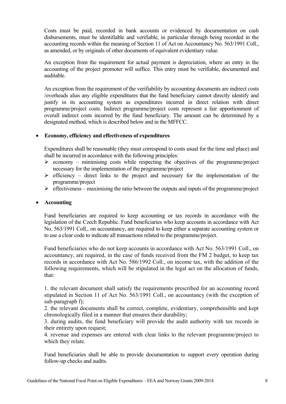Costs must be paid, recorded in bank accounts or evidenced by documentation on cash disbursements, must be identifiable and verifiable, in particular through being recorded in the accounting records within the meaning of Section 11 of Act on Accountancy No. 563/1991 Coll., as amended, or by originals of other documents of equivalent evidentiary value.

An exception from the requirement for actual payment is depreciation, where an entry in the accounting of the project promoter will suffice. This entry must be verifiable, documented and auditable.

An exception from the requirement of the verifiability by accounting documents are indirect costs /overheads alias any eligible expenditures that the fund beneficiary cannot directly identify and justify in its accounting system as expenditures incurred in direct relation with direct programme/project costs. Indirect programme/project costs represent a fair apportionment of overall indirect costs incurred by the fund beneficiary. The amount can be determined by a designated method, which is described below and in the MFFCC.

#### **Economy, efficiency and effectiveness of expenditures**

Expenditures shall be reasonable (they must correspond to costs usual for the time and place) and shall be incurred in accordance with the following principles:

- $\triangleright$  economy minimising costs while respecting the objectives of the programme/project necessary for the implementation of the programme/project
- $\triangleright$  efficiency direct links to the project and necessary for the implementation of the programme/project
- $\triangleright$  effectiveness maximising the ratio between the outputs and inputs of the programme/project

#### **Accounting**

Fund beneficiaries are required to keep accounting or tax records in accordance with the legislation of the Czech Republic. Fund beneficiaries who keep accounts in accordance with Act No. 563/1991 Coll., on accountancy, are required to keep either a separate accounting system or to use a clear code to indicate all transactions related to the programme/project.

Fund beneficiaries who do not keep accounts in accordance with Act No. 563/1991 Coll., on accountancy, are required, in the case of funds received from the FM 2 budget, to keep tax records in accordance with Act No. 586/1992 Coll., on income tax, with the addition of the following requirements, which will be stipulated in the legal act on the allocation of funds, that:

1. the relevant document shall satisfy the requirements prescribed for an accounting record stipulated in Section 11 of Act No. 563/1991 Coll., on accountancy (with the exception of sub-paragraph f);

2. the relevant documents shall be correct, complete, evidentiary, comprehensible and kept chronologically filed in a manner that ensures their durability;

3. during audits, the fund beneficiary will provide the audit authority with tax records in their entirety upon request;

4. revenue and expenses are entered with clear links to the relevant programme/project to which they relate.

Fund beneficiaries shall be able to provide documentation to support every operation during follow-up checks and audits.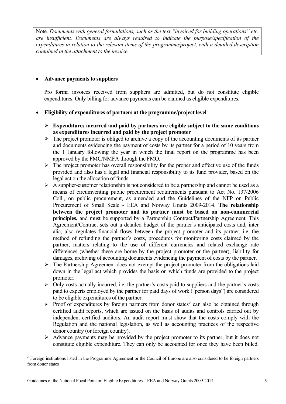Note. *Documents with general formulations, such as the text "invoiced for building operations" etc. are insufficient. Documents are always required to indicate the purpose/specification of the expenditures in relation to the relevant items of the programme/project, with a detailed description contained in the attachment to the invoice.* 

#### **Advance payments to suppliers**

Pro forma invoices received from suppliers are admitted, but do not constitute eligible expenditures. Only billing for advance payments can be claimed as eligible expenditures.

#### **Eligibility of expenditures of partners at the programme/project level**

- **Expenditures incurred and paid by partners are eligible subject to the same conditions as expenditures incurred and paid by the project promoter**
- $\triangleright$  The project promoter is obliged to archive a copy of the accounting documents of its partner and documents evidencing the payment of costs by its partner for a period of 10 years from the 1 January following the year in which the final report on the programme has been approved by the FMC/NMFA through the FMO.
- $\triangleright$  The project promoter has overall responsibility for the proper and effective use of the funds provided and also has a legal and financial responsibility to its fund provider, based on the legal act on the allocation of funds.
- $\triangleright$  A supplier-customer relationship is not considered to be a partnership and cannot be used as a means of circumventing public procurement requirements pursuant to Act No. 137/2006 Coll., on public procurement, as amended and the Guidelines of the NFP on Public Procurement of Small Scale - EEA and Norway Grants 2009-2014. **The relationship between the project promoter and its partner must be based on non-commercial principles,** and must be supported by a Partnership Contract/Partnership Agreement. This Agreement/Contract sets out a detailed budget of the partner's anticipated costs and, inter alia, also regulates financial flows between the project promoter and its partner, i.e. the method of refunding the partner's costs, procedures for monitoring costs claimed by the partner, matters relating to the use of different currencies and related exchange rate differences (whether these are borne by the project promoter or the partner), liability for damages, archiving of accounting documents evidencing the payment of costs by the partner.
- $\triangleright$  The Partnership Agreement does not exempt the project promoter from the obligations laid down in the legal act which provides the basis on which funds are provided to the project promoter.
- $\triangleright$  Only costs actually incurred, i.e. the partner's costs paid to suppliers and the partner's costs paid to experts employed by the partner for paid days of work ("person days") are considered to be eligible expenditures of the partner.
- $\triangleright$  Proof of expenditures by foreign partners from donor states<sup>3</sup> can also be obtained through certified audit reports, which are issued on the basis of audits and controls carried out by independent certified auditors. An audit report must show that the costs comply with the Regulation and the national legislation, as well as accoun[tin](#page-8-0)g practices of the respective donor country (or foreign country).
- $\triangleright$  Advance payments may be provided by the project promoter to its partner, but it does not constitute eligible expenditure. They can only be accounted for once they have been billed.

 $\overline{a}$ 

<span id="page-8-0"></span><sup>&</sup>lt;sup>3</sup> Foreign institutions listed in the Programme Agreement or the Council of Europe are also considered to be foreign partners from donor states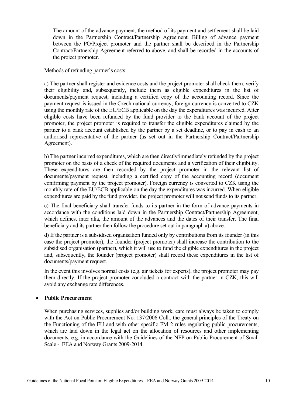The amount of the advance payment, the method of its payment and settlement shall be laid down in the Partnership Contract/Partnership Agreement. Billing of advance payment between the PO/Project promoter and the partner shall be described in the Partnership Contract/Partnership Agreement referred to above, and shall be recorded in the accounts of the project promoter.

Methods of refunding partner's costs:

a) The partner shall register and evidence costs and the project promoter shall check them, verify their eligibility and, subsequently, include them as eligible expenditures in the list of documents/payment request, including a certified copy of the accounting record. Since the payment request is issued in the Czech national currency, foreign currency is converted to CZK using the monthly rate of the EU/ECB applicable on the day the expenditures was incurred. After eligible costs have been refunded by the fund provider to the bank account of the project promoter, the project promoter is required to transfer the eligible expenditures claimed by the partner to a bank account established by the partner by a set deadline, or to pay in cash to an authorised representative of the partner (as set out in the Partnership Contract/Partnership Agreement).

b) The partner incurred expenditures, which are then directly/immediately refunded by the project promoter on the basis of a check of the required documents and a verification of their eligibility. These expenditures are then recorded by the project promoter in the relevant list of documents/payment request, including a certified copy of the accounting record (document confirming payment by the project promoter). Foreign currency is converted to CZK using the monthly rate of the EU/ECB applicable on the day the expenditures was incurred. When eligible expenditures are paid by the fund provider, the project promoter will not send funds to its partner.

c) The final beneficiary shall transfer funds to its partner in the form of advance payments in accordance with the conditions laid down in the Partnership Contract/Partnership Agreement, which defines, inter alia, the amount of the advances and the dates of their transfer. The final beneficiary and its partner then follow the procedure set out in paragraph a) above.

d) If the partner is a subsidised organisation funded only by contributions from its founder (in this case the project promoter), the founder (project promoter) shall increase the contribution to the subsidised organisation (partner), which it will use to fund the eligible expenditures in the project and, subsequently, the founder (project promoter) shall record these expenditures in the list of documents/payment request.

In the event this involves normal costs (e.g. air tickets for experts), the project promoter may pay them directly. If the project promoter concluded a contract with the partner in CZK, this will avoid any exchange rate differences.

#### **Public Procurement**

When purchasing services, supplies and/or building work, care must always be taken to comply with the Act on Public Procurement No. 137/2006 Coll., the general principles of the Treaty on the Functioning of the EU and with other specific FM 2 rules regulating public procurements, which are laid down in the legal act on the allocation of resources and other implementing documents, e.g. in accordance with the Guidelines of the NFP on Public Procurement of Small Scale - EEA and Norway Grants 2009-2014.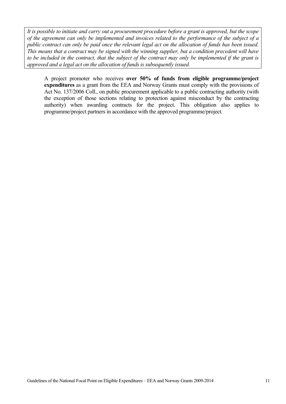*It is possible to initiate and carry out a procurement procedure before a grant is approved, but the scope of the agreement can only be implemented and invoices related to the performance of the subject of a public contract can only be paid once the relevant legal act on the allocation of funds has been issued. This means that a contract may be signed with the winning supplier, but a condition precedent will have to be included in the contract, that the subject of the contract may only be implemented if the grant is approved and a legal act on the allocation of funds is subsequently issued.* 

A project promoter who receives **over 50% of funds from eligible programme/project expenditures** as a grant from the EEA and Norway Grants must comply with the provisions of Act No. 137/2006 Coll., on public procurement applicable to a public contracting authority (with the exception of those sections relating to protection against misconduct by the contracting authority) when awarding contracts for the project. This obligation also applies to programme/project partners in accordance with the approved programme/project.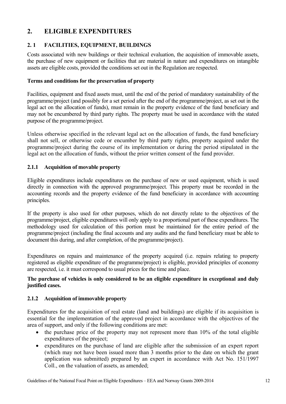## <span id="page-11-0"></span>**2. ELIGIBLE EXPENDITURES**

## <span id="page-11-1"></span>**2. 1 FACILITIES, EQUIPMENT, BUILDINGS**

Costs associated with new buildings or their technical evaluation, the acquisition of immovable assets, the purchase of new equipment or facilities that are material in nature and expenditures on intangible assets are eligible costs, provided the conditions set out in the Regulation are respected.

#### **Terms and conditions for the preservation of property**

Facilities, equipment and fixed assets must, until the end of the period of mandatory sustainability of the programme/project (and possibly for a set period after the end of the programme/project, as set out in the legal act on the allocation of funds), must remain in the property evidence of the fund beneficiary and may not be encumbered by third party rights. The property must be used in accordance with the stated purpose of the programme/project.

Unless otherwise specified in the relevant legal act on the allocation of funds, the fund beneficiary shall not sell, or otherwise cede or encumber by third party rights, property acquired under the programme/project during the course of its implementation or during the period stipulated in the legal act on the allocation of funds, without the prior written consent of the fund provider.

#### <span id="page-11-2"></span>**2.1.1 Acquisition of movable property**

Eligible expenditures include expenditures on the purchase of new or used equipment, which is used directly in connection with the approved programme/project. This property must be recorded in the accounting records and the property evidence of the fund beneficiary in accordance with accounting principles.

If the property is also used for other purposes, which do not directly relate to the objectives of the programme/project, eligible expenditures will only apply to a proportional part of these expenditures. The methodology used for calculation of this portion must be maintained for the entire period of the programme/project (including the final accounts and any audits and the fund beneficiary must be able to document this during, and after completion, of the programme/project).

Expenditures on repairs and maintenance of the property acquired (i.e. repairs relating to property registered as eligible expenditure of the programme/project) is eligible, provided principles of economy are respected, i.e. it must correspond to usual prices for the time and place.

#### **The purchase of vehicles is only considered to be an eligible expenditure in exceptional and duly justified cases.**

#### <span id="page-11-3"></span>**2.1.2 Acquisition of immovable property**

Expenditures for the acquisition of real estate (land and buildings) are eligible if its acquisition is essential for the implementation of the approved project in accordance with the objectives of the area of support, and only if the following conditions are met:

- $\bullet$  the purchase price of the property may not represent more than 10% of the total eligible expenditures of the project;
- expenditures on the purchase of land are eligible after the submission of an expert report (which may not have been issued more than 3 months prior to the date on which the grant application was submitted) prepared by an expert in accordance with Act No. 151/1997 Coll., on the valuation of assets, as amended;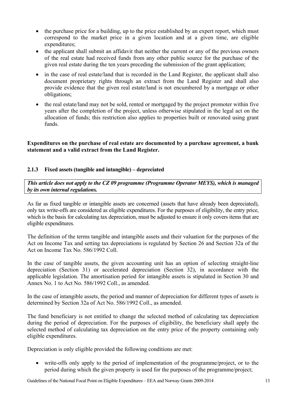- the purchase price for a building, up to the price established by an expert report, which must correspond to the market price in a given location and at a given time, are eligible expenditures;
- the applicant shall submit an affidavit that neither the current or any of the previous owners of the real estate had received funds from any other public source for the purchase of the given real estate during the ten years preceding the submission of the grant application;
- in the case of real estate/land that is recorded in the Land Register, the applicant shall also document proprietary rights through an extract from the Land Register and shall also provide evidence that the given real estate/land is not encumbered by a mortgage or other obligations;
- the real estate/land may not be sold, rented or mortgaged by the project promoter within five years after the completion of the project, unless otherwise stipulated in the legal act on the allocation of funds; this restriction also applies to properties built or renovated using grant funds.

**Expenditures on the purchase of real estate are documented by a purchase agreement, a bank statement and a valid extract from the Land Register.** 

#### <span id="page-12-0"></span>**2.1.3 Fixed assets (tangible and intangible) – depreciated**

*This article does not apply to the CZ 09 programme (Programme Operator MEYS), which is managed by its own internal regulations.*

As far as fixed tangible or intangible assets are concerned (assets that have already been depreciated), only tax write-offs are considered as eligible expenditures. For the purposes of eligibility, the entry price, which is the basis for calculating tax depreciation, must be adjusted to ensure it only covers items that are eligible expenditures.

The definition of the terms tangible and intangible assets and their valuation for the purposes of the Act on Income Tax and setting tax depreciations is regulated by Section 26 and Section 32a of the Act on Income Tax No. 586/1992 Coll.

In the case of tangible assets, the given accounting unit has an option of selecting straight-line depreciation (Section 31) or accelerated depreciation (Section 32), in accordance with the applicable legislation. The amortisation period for intangible assets is stipulated in Section 30 and Annex No. 1 to Act No. 586/1992 Coll., as amended.

In the case of intangible assets, the period and manner of depreciation for different types of assets is determined by Section 32a of Act No. 586/1992 Coll., as amended.

The fund beneficiary is not entitled to change the selected method of calculating tax depreciation during the period of depreciation. For the purposes of eligibility, the beneficiary shall apply the selected method of calculating tax depreciation on the entry price of the property containing only eligible expenditures.

Depreciation is only eligible provided the following conditions are met:

 write-offs only apply to the period of implementation of the programme/project, or to the period during which the given property is used for the purposes of the programme/project;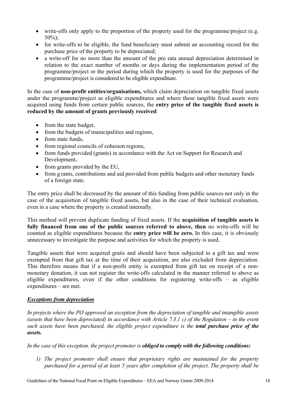- write-offs only apply to the proportion of the property used for the programme/project (e.g.  $50\%$ );
- for write-offs to be eligible, the fund beneficiary must submit an accounting record for the purchase price of the property to be depreciated;
- a write-off for no more than the amount of the pro rata annual depreciation determined in relation to the exact number of months or days during the implementation period of the programme/project or the period during which the property is used for the purposes of the programme/project is considered to be eligible expenditure.

In the case of **non-profit entities/organisations,** which claim depreciation on tangible fixed assets under the programme/project as eligible expenditures and where these tangible fixed assets were acquired using funds from certain public sources, the **entry price of the tangible fixed assets is reduced by the amount of grants previously received**:

- from the state budget,
- from the budgets of municipalities and regions,
- from state funds,
- from regional councils of cohesion regions,
- from funds provided (grants) in accordance with the Act on Support for Research and Development,
- $\bullet$  from grants provided by the EU,
- from g rants, contributions and aid provided from public budgets and other monetary funds of a foreign state.

The entry price shall be decreased by the amount of this funding from public sources not only in the case of the acquisition of tangible fixed assets, but also in the case of their technical evaluation, even in a case where the property is created internally.

This method will prevent duplicate funding of fixed assets. If the **acquisition of tangible assets is fully financed from one of the public sources referred to above, then** no write-offs will be counted as eligible expenditures because the **entry price will be zero.** In this case, it is obviously unnecessary to investigate the purpose and activities for which the property is used.

Tangible assets that were acquired gratis and should have been subjected to a gift tax and were exempted from that gift tax at the time of their acquisition, are also excluded from depreciation. This therefore means that if a non-profit entity is exempted from gift tax on receipt of a nonmonetary donation, it can not register the write-offs calculated in the manner referred to above as eligible expenditures, even if the other conditions for registering write-offs – as eligible expenditures – are met.

#### *Exceptions from depreciation*

*In projects where the PO approved an exception from the depreciation of tangible and intangible assets (assets that have been depreciated) in accordance with Article 7.3.1 c) of the Regulation – in the event such assets have been purchased, the eligible project expenditure is the total purchase price of the assets.* 

*In the case of this exception, the project promoter is obliged to comply with the following conditions:* 

*1) The project promoter shall ensure that proprietary rights are maintained for the property purchased for a period of at least 5 years after completion of the project. The property shall be*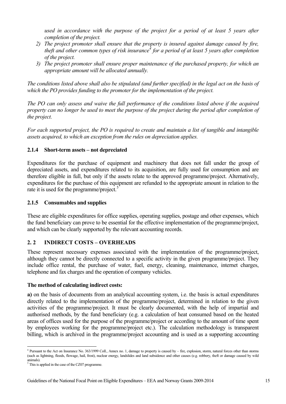*used in accordance with the purpose of the project for a period of at least 5 years after completion of the project.* 

- *2) The project promoter shall ensure that the property is insured against damage caused by fire, theft and other common types of risk insurance<sup>4</sup> for a period of at least 5 years after completion of the project.*
- *3) The project promoter shall ensure proper maintenance of the purchased property, for which an appropriate amount will be allocated annually.*

*The conditions listed above shall also be stipulated (and further specified) in the legal act on the basis of which the PO provides funding to the promoter for the implementation of the project.* 

*The PO can only assess and waive the full performance of the conditions listed above if the acquired property can no longer be used to meet the purpose of the project during the period after completion of the project.* 

*For each supported project, the PO is required to create and maintain a list of tangible and intangible assets acquired, to which an exception from the rules on depreciation applies.* 

#### **2.1.4 Short-term assets – not depreciated**

<span id="page-14-0"></span>Expenditures for the purchase of equipment and machinery that does not fall under the group of depreciated assets, and expenditures related to its acquisition, are fully used for consumption and are therefore eligible in full, but only if the assets relate to the approved programme/project. Alternatively, expenditures for the purchase of this equipment are refunded to the appropriate amount in relation to the rate it is used for the programme/project.<sup>5</sup>

#### **2.1.5 Consumables and supplies**

<span id="page-14-1"></span>These are eligible expenditures for offic[e](#page-14-4) supplies, operating supplies, postage and other expenses, which the fund beneficiary can prove to be essential for the effective implementation of the programme/project, and which can be clearly supported by the relevant accounting records.

#### **2. 2 INDIRECT COSTS – OVERHEADS**

<span id="page-14-2"></span>These represent necessary expenses associated with the implementation of the programme/project, although they cannot be directly connected to a specific activity in the given programme/project. They include office rental, the purchase of water, fuel, energy, cleaning, maintenance, internet charges, telephone and fax charges and the operation of company vehicles.

#### **The method of calculating indirect costs:**

**a)** on the basis of documents from an analytical accounting system, i.e. the basis is actual expenditures directly related to the implementation of the programme/project, determined in relation to the given activities of the programme/project. It must be clearly documented, with the help of impartial and authorised methods, by the fund beneficiary (e.g. a calculation of heat consumed based on the heated areas of offices used for the purpose of the programme/project or according to the amount of time spent by employees working for the programme/project etc.). The calculation methodology is transparent billing, which is archived in the programme/project accounting and is used as a supporting accounting

 $\overline{a}$ 4 Pursuant to the Act on Insurance No. 363/1999 Coll., Annex no. 1, damage to property is caused by – fire, explosion, storm, natural forces other than storms (such as lightning, floods, flowage, hail, frost), nuclear energy, landslides and land subsidence and other causes (e.g. robbery, theft or damage caused by wild animals).

<span id="page-14-4"></span><span id="page-14-3"></span><sup>&</sup>lt;sup>5</sup> This is applied in the case of the CZ07 programme.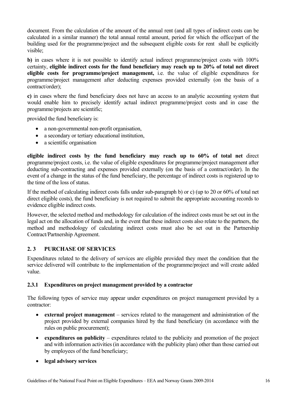document. From the calculation of the amount of the annual rent (and all types of indirect costs can be calculated in a similar manner) the total annual rental amount, period for which the office/part of the building used for the programme/project and the subsequent eligible costs for rent shall be explicitly visible;

**b**) in cases where it is not possible to identify actual indirect programme/project costs with 100% certainty, **eligible indirect costs for the fund beneficiary may reach up to 20% of total net direct eligible costs for programme/project management,** i.e. the value of eligible expenditures for programme/project management after deducting expenses provided externally (on the basis of a contract/order);

**c)** in cases where the fund beneficiary does not have an access to an analytic accounting system that would enable him to precisely identify actual indirect programme/project costs and in case the programme/projects are scientific;

provided the fund beneficiary is:

- a non-governmental non-profit organisation,
- a secondary or tertiary educational institution,
- a scientific organisation

**eligible indirect costs by the fund beneficiary may reach up to 60% of total net** direct programme/project costs, i.e. the value of eligible expenditures for programme/project management after deducting sub-contracting and expenses provided externally (on the basis of a contract/order). In the event of a change in the status of the fund beneficiary, the percentage of indirect costs is registered up to the time of the loss of status.

If the method of calculating indirect costs falls under sub-paragraph b) or c) (up to 20 or 60% of total net direct eligible costs), the fund beneficiary is not required to submit the appropriate accounting records to evidence eligible indirect costs.

However, the selected method and methodology for calculation of the indirect costs must be set out in the legal act on the allocation of funds and, in the event that these indirect costs also relate to the partners, the method and methodology of calculating indirect costs must also be set out in the Partnership Contract/Partnership Agreement.

#### <span id="page-15-0"></span>**2. 3 PURCHASE OF SERVICES**

Expenditures related to the delivery of services are eligible provided they meet the condition that the service delivered will contribute to the implementation of the programme/project and will create added value.

#### <span id="page-15-1"></span>**2.3.1 Expenditures on project management provided by a contractor**

The following types of service may appear under expenditures on project management provided by a contractor:

- **external project management** services related to the management and administration of the project provided by external companies hired by the fund beneficiary (in accordance with the rules on public procurement);
- **expenditures on publicity** expenditures related to the publicity and promotion of the project and with information activities (in accordance with the publicity plan) other than those carried out by employees of the fund beneficiary;
- **legal advisory services**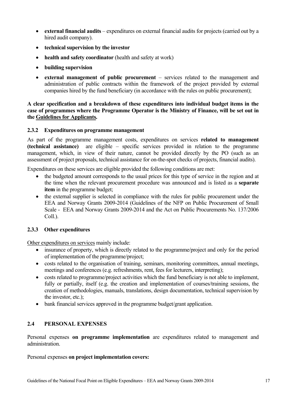- **external financial audits** expenditures on external financial audits for projects (carried out by a hired audit company).
- **technical supervision by the investor**
- health and safety coordinator (health and safety at work)
- **building supervision**
- **external management of public procurement** services related to the management and administration of public contracts within the framework of the project provided by external companies hired by the fund beneficiary (in accordance with the rules on public procurement);

**A clear specification and a breakdown of these expenditures into individual budget items in the case of programmes where the Programme Operator is the Ministry of Finance, will be set out in the Guidelines for Applicants.** 

#### <span id="page-16-0"></span>**2.3.2 Expenditures on programme management**

As part of the programme management costs, expenditures on services **related to management (technical assistance)** are eligible – specific services provided in relation to the programme management, which, in view of their nature, cannot be provided directly by the PO (such as an assessment of project proposals, technical assistance for on-the-spot checks of projects, financial audits).

Expenditures on these services are eligible provided the following conditions are met:

- the budgeted amount corresponds to the usual prices for this type of service in the region and at the time when the relevant procurement procedure was announced and is listed as a **separate item** in the programme budget;
- the external supplier is selected in compliance with the rules for public procurement under the EEA and Norway Grants 2009-2014 (Guidelines of the NFP on Public Procurement of Small Scale - EEA and Norway Grants 2009-2014 and the Act on Public Procurements No. 137/2006 Coll.).

#### <span id="page-16-1"></span>**2.3.3 Other expenditures**

Other expenditures on services mainly include:

- insurance of property, which is directly related to the programme/project and only for the period of implementation of the programme/project;
- costs related to the organisation of training, seminars, monitoring committees, annual meetings, meetings and conferences (e.g. refreshments, rent, fees for lecturers, interpreting);
- costs related to programme/project activities which the fund beneficiary is not able to implement, fully or partially, itself (e.g. the creation and implementation of courses/training sessions, the creation of methodologies, manuals, translations, design documentation, technical supervision by the investor, etc.);
- bank financial services approved in the programme budget/grant application.

#### <span id="page-16-2"></span>**2.4 PERSONAL EXPENSES**

Personal expenses **on programme implementation** are expenditures related to management and administration.

Personal expenses **on project implementation covers:**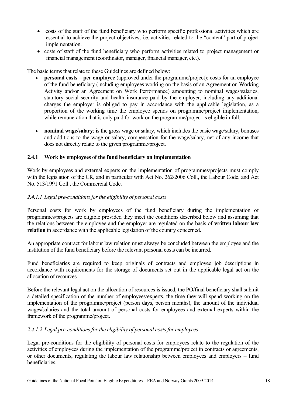- costs of the staff of the fund beneficiary who perform specific professional activities which are essential to achieve the project objectives, i.e. activities related to the "content" part of project implementation.
- costs of staff of the fund beneficiary who perform activities related to project management or financial management (coordinator, manager, financial manager, etc.).

The basic terms that relate to these Guidelines are defined below:

- **personal costs per employee** (approved under the programme/project): costs for an employee of the fund beneficiary (including employees working on the basis of an Agreement on Working Activity and/or an Agreement on Work Performance) amounting to nominal wages/salaries, statutory social security and health insurance paid by the employer, including any additional charges the employer is obliged to pay in accordance with the applicable legislation, as a proportion of the working time the employee spends on programme/project implementation, while remuneration that is only paid for work on the programme/project is eligible in full;
- **nominal wage/salary**: is the gross wage or salary, which includes the basic wage/salary, bonuses and additions to the wage or salary, compensation for the wage/salary, net of any income that does not directly relate to the given programme/project.

#### <span id="page-17-0"></span>**2.4.1 Work by employees of the fund beneficiary on implementation**

Work by employees and external experts on the implementation of programmes/projects must comply with the legislation of the CR, and in particular with Act No. 262/2006 Coll., the Labour Code, and Act No. 513/1991 Coll., the Commercial Code.

#### *2.4.1.1 Legal pre-conditions for the eligibility of personal costs*

Personal costs for work by employees of the fund beneficiary during the implementation of programmes/projects are eligible provided they meet the conditions described below and assuming that the relations between the employee and the employer are regulated on the basis of **written labour law relation** in accordance with the applicable legislation of the country concerned.

An appropriate contract for labour law relation must always be concluded between the employee and the institution of the fund beneficiary before the relevant personal costs can be incurred.

Fund beneficiaries are required to keep originals of contracts and employee job descriptions in accordance with requirements for the storage of documents set out in the applicable legal act on the allocation of resources.

Before the relevant legal act on the allocation of resources is issued, the PO/final beneficiary shall submit a detailed specification of the number of employees/experts, the time they will spend working on the implementation of the programme/project (person days, person months), the amount of the individual wages/salaries and the total amount of personal costs for employees and external experts within the framework of the programme/project.

#### *2.4.1.2 Legal pre-conditions for the eligibility of personal costs for employees*

Legal pre-conditions for the eligibility of personal costs for employees relate to the regulation of the activities of employees during the implementation of the programme/project in contracts or agreements, or other documents, regulating the labour law relationship between employees and employers – fund **beneficiaries**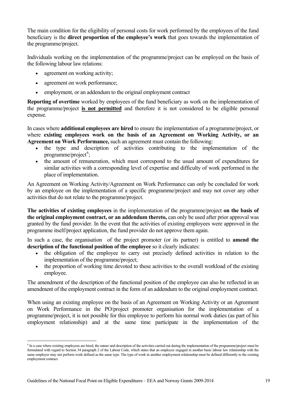The main condition for the eligibility of personal costs for work performed by the employees of the fund beneficiary is the **direct proportion of the employee's work** that goes towards the implementation of the programme/project.

Individuals working on the implementation of the programme/project can be employed on the basis of the following labour law relations:

- agreement on working activity;
- agreement on work performance;
- employment, or an addendum to the original employment contract

**Reporting of overtime** worked by employees of the fund beneficiary as work on the implementation of the programme/project **is not permitted** and therefore it is not considered to be eligible personal expense.

In cases where **additional employees are hired** to ensure the implementation of a programme/project, or where **existing employees work on the basis of an Agreement on Working Activity, or an Agreement on Work Performance,** such an agreement must contain the following:

- the type and description of activities contributing to the implementation of the programme/project<sup>6</sup>;
- the amount of remuneration, which must correspond to the usual amount of expenditures for similar activities with a corresponding level of expertise and difficulty of work performed in the place of implemen[ta](#page-18-0)tion.

An Agreement on Working Activity/Agreement on Work Performance can only be concluded for work by an employee on the implementation of a specific programme/project and may not cover any other activities that do not relate to the programme/project.

**The activities of existing employees** in the implementation of the programme/project **on the basis of the original employment contract, or an addendum thereto,** can only be used after prior approval was granted by the fund provider. In the event that the activities of existing employees were approved in the programme itself/project application, the fund provider do not approve them again.

In such a case, the organisation of the project promoter (or its partner) is entitled to **amend the description of the functional position of the employee** so it clearly indicates:

- the obligation of the employee to carry out precisely defined activities in relation to the implementation of the programme/project;
- the proportion of working time devoted to these activities to the overall workload of the existing employee.

The amendment of the description of the functional position of the employee can also be reflected in an amendment of the employment contract in the form of an addendum to the original employment contract.

When using an existing employee on the basis of an Agreement on Working Activity or an Agreement on Work Performance in the PO/project promoter organisation for the implementation of a programme/project, it is not possible for this employee to perform his normal work duties (as part of his employment relationship) and at the same time participate in the implementation of the

<span id="page-18-0"></span> $\overline{a}$ <sup>6</sup> In a case where existing employees are hired, the nature and description of the activities carried out during the implementation of the programme/project must be formulated with regard to Section 34 paragraph 2 of the Labour Code, which states that an employee engaged in another basic labour law relationship with the same employer may not perform work defined as the same type. The type of work in another employment relationship must be defined differently to the existing employment contract.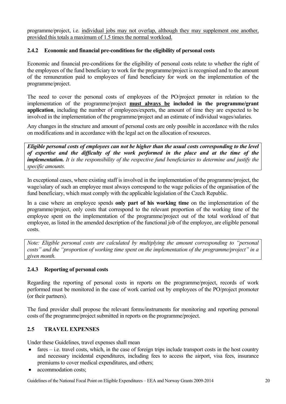programme/project, i.e. individual jobs may not overlap, although they may supplement one another, provided this totals a maximum of 1.5 times the normal workload.

#### <span id="page-19-0"></span>**2.4.2 Economic and financial pre-conditions for the eligibility of personal costs**

Economic and financial pre-conditions for the eligibility of personal costs relate to whether the right of the employees of the fund beneficiary to work for the programme/project is recognised and to the amount of the remuneration paid to employees of fund beneficiary for work on the implementation of the programme/project.

The need to cover the personal costs of employees of the PO/project prmoter in relation to the implementation of the programme/project **must always be included in the programme/grant application**, including the number of employees/experts, the amount of time they are expected to be involved in the implementation of the programme/project and an estimate of individual wages/salaries.

Any changes in the structure and amount of personal costs are only possible in accordance with the rules on modifications and in accordance with the legal act on the allocation of resources.

*Eligible personal costs of employees can not be higher than the usual costs corresponding to the level of expertise and the difficulty of the work performed in the place and at the time of the implementation. It is the responsibility of the respective fund beneficiaries to determine and justify the specific amounts.* 

In exceptional cases, where existing staff is involved in the implementation of the programme/project, the wage/salary of such an employee must always correspond to the wage policies of the organisation of the fund beneficiary, which must comply with the applicable legislation of the Czech Republic.

In a case where an employee spends **only part of his working time** on the implementation of the programme/project, only costs that correspond to the relevant proportion of the working time of the employee spent on the implementation of the programme/project out of the total workload of that employee, as listed in the amended description of the functional job of the employee, are eligible personal costs.

*Note: Eligible personal costs are calculated by multiplying the amount corresponding to "personal costs" and the "proportion of working time spent on the implementation of the programme/project" in a given month.* 

#### <span id="page-19-1"></span>**2.4.3 Reporting of personal costs**

Regarding the reporting of personal costs in reports on the programme/project, records of work performed must be monitored in the case of work carried out by employees of the PO/project promoter (or their partners).

The fund provider shall propose the relevant forms/instruments for monitoring and reporting personal costs of the programme/project submitted in reports on the programme/project.

#### <span id="page-19-2"></span>**2.5 TRAVEL EXPENSES**

Under these Guidelines, travel expenses shall mean

- fares i.e. travel costs, which, in the case of foreign trips include transport costs in the host country and necessary incidental expenditures, including fees to access the airport, visa fees, insurance premiums to cover medical expenditures, and others;
- accommodation costs;

Guidelines of the National Focal Point on Eligible Expenditures – EEA and Norway Grants 2009-2014 20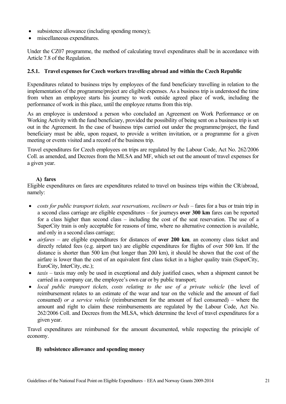- subsistence allowance (including spending money);
- miscellaneous expenditures.

Under the CZ07 programme, the method of calculating travel expenditures shall be in accordance with Article 7.8 of the Regulation.

#### <span id="page-20-0"></span>**2.5.1. Travel expenses for Czech workers travelling abroad and within the Czech Republic**

Expenditures related to business trips by employees of the fund beneficiary travelling in relation to the implementation of the programme/project are eligible expenses. As a business trip is understood the time from when an employee starts his journey to work outside agreed place of work, including the performance of work in this place, until the employee returns from this trip.

As an employee is understood a person who concluded an Agreement on Work Performance or on Working Activity with the fund beneficiary, provided the possibility of being sent on a business trip is set out in the Agreement. In the case of business trips carried out under the programme/project, the fund beneficiary must be able, upon request, to provide a written invitation, or a programme for a given meeting or events visited and a record of the business trip.

Travel expenditures for Czech employees on trips are regulated by the Labour Code, Act No. 262/2006 Coll. as amended, and Decrees from the MLSA and MF, which set out the amount of travel expenses for a given year.

#### **A) fares**

Eligible expenditures on fares are expenditures related to travel on business trips within the CR/abroad, namely:

- *costs for public transport tickets, seat reservations, recliners or beds* fares for a bus or train trip in a second class carriage are eligible expenditures – for journeys **over 300 km** fares can be reported for a class higher than second class – including the cost of the seat reservation. The use of a SuperCity train is only acceptable for reasons of time, where no alternative connection is available, and only in a second class carriage;
- *airfares* are eligible expenditures for distances of **over 200 km***,* an economy class ticket and directly related fees (e.g. airport tax) are eligible expenditures for flights of over 500 km. If the distance is shorter than 500 km (but longer than 200 km), it should be shown that the cost of the airfare is lower than the cost of an equivalent first class ticket in a higher quality train (SuperCity, EuroCity, InterCity, etc.);
- *taxis* taxis may only be used in exceptional and duly justified cases, when a shipment cannot be carried in a company car, the employee's own car or by public transport;
- *local public transport tickets, costs relating to the use of a private vehicle* (the level of reimbursement relates to an estimate of the wear and tear on the vehicle and the amount of fuel consumed) *or a service vehicle* (reimbursement for the amount of fuel consumed) – where the amount and right to claim these reimbursements are regulated by the Labour Code, Act No. 262/2006 Coll. and Decrees from the MLSA, which determine the level of travel expenditures for a given year.

Travel expenditures are reimbursed for the amount documented, while respecting the principle of economy.

#### **B) subsistence allowance and spending money**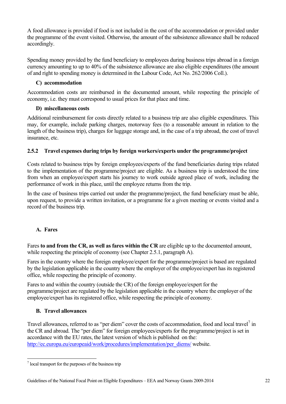A food allowance is provided if food is not included in the cost of the accommodation or provided under the programme of the event visited. Otherwise, the amount of the subsistence allowance shall be reduced accordingly.

Spending money provided by the fund beneficiary to employees during business trips abroad in a foreign currency amounting to up to 40% of the subsistence allowance are also eligible expenditures (the amount of and right to spending money is determined in the Labour Code, Act No. 262/2006 Coll.).

## **C) accommodation**

Accommodation costs are reimbursed in the documented amount, while respecting the principle of economy, i.e. they must correspond to usual prices for that place and time.

## **D) miscellaneous costs**

Additional reimbursement for costs directly related to a business trip are also eligible expenditures. This may, for example, include parking charges, motorway fees (to a reasonable amount in relation to the length of the business trip), charges for luggage storage and, in the case of a trip abroad, the cost of travel insurance, etc.

## **2.5.2 Travel expenses during trips by foreign workers/experts under the programme/project**

<span id="page-21-0"></span>Costs related to business trips by foreign employees/experts of the fund beneficiaries during trips related to the implementation of the programme/project are eligible. As a business trip is understood the time from when an employee/expert starts his journey to work outside agreed place of work, including the performance of work in this place, until the employee returns from the trip.

In the case of business trips carried out under the programme/project, the fund beneficiary must be able, upon request, to provide a written invitation, or a programme for a given meeting or events visited and a record of the business trip.

## **A. Fares**

Fares **to and from the CR, as well as fares within the CR** are eligible up to the documented amount, while respecting the principle of economy (see Chapter 2.5.1, paragraph A).

Fares in the country where the foreign employee/expert for the programme/project is based are regulated by the legislation applicable in the country where the employer of the employee/expert has its registered office, while respecting the principle of economy.

Fares to and within the country (outside the CR) of the foreign employee/expert for the programme/project are regulated by the legislation applicable in the country where the employer of the employee/expert has its registered office, while respecting the principle of economy.

## **B. Travel allowances**

Travel allowances, referred to as "per diem" cover the costs of accommodation, food and local travel<sup>7</sup> in the CR and abroad. The "per diem" for foreign employees/experts for the programme/project is set in accordance with the EU rates, the latest version of which is published on the: http://ec.europa.eu/europeaid/work/procedures/implementation/per\_diems/ website.

 7  [local transport for the purposes of the business trip](http://ec.europa.eu/europeaid/work/procedures/implementation/per_diems/)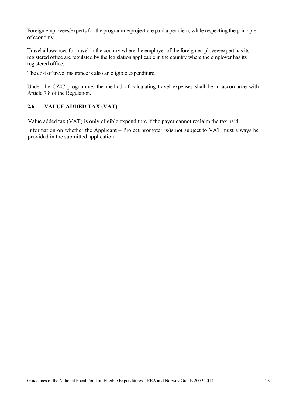Foreign employees/experts for the programme/project are paid a per diem, while respecting the principle of economy.

Travel allowances for travel in the country where the employer of the foreign employee/expert has its registered office are regulated by the legislation applicable in the country where the employer has its registered office.

The cost of travel insurance is also an eligible expenditure.

Under the CZ07 programme, the method of calculating travel expenses shall be in accordance with Article 7.8 of the Regulation.

## **2.6 VALUE ADDED TAX (VAT)**

Value added tax (VAT) is only eligible expenditure if the payer cannot reclaim the tax paid.

Information on whether the Applicant – Project promoter is/is not subject to VAT must always be provided in the submitted application.